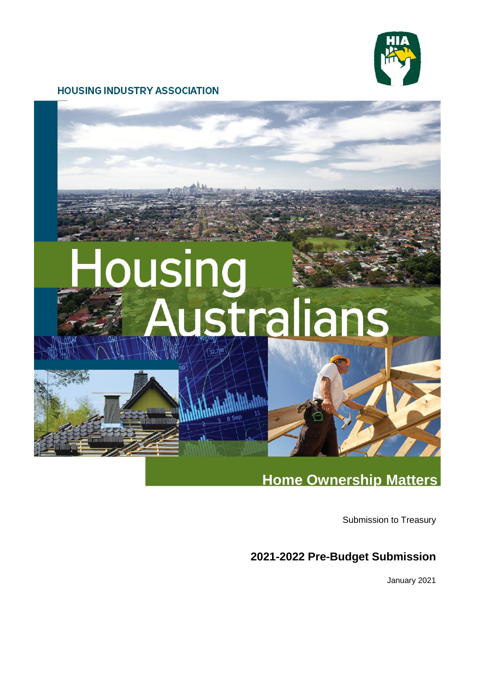

# **HOUSING INDUSTRY ASSOCIATION**



# **Home Ownership Matters**

Submission to Treasury

# **2021-2022 Pre-Budget Submission**

January 2021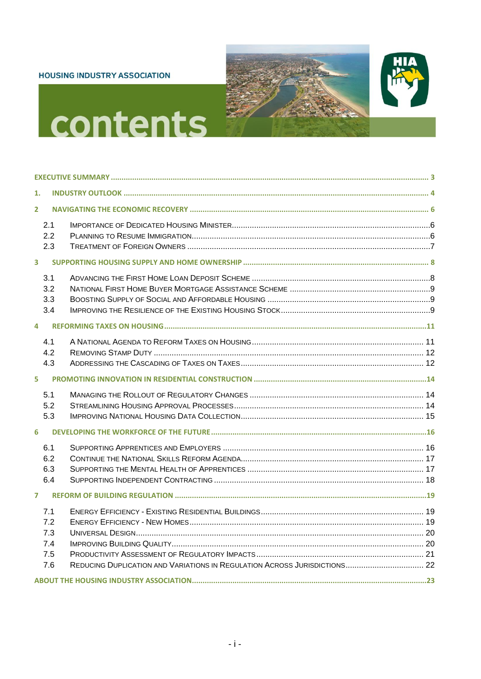#### **HOUSING INDUSTRY ASSOCIATION**





# contents

| 1.                      |                                        |  |
|-------------------------|----------------------------------------|--|
| $\overline{2}$          |                                        |  |
|                         | 2.1<br>2.2<br>2.3                      |  |
| $\overline{\mathbf{3}}$ |                                        |  |
|                         | 3.1<br>3.2<br>3.3<br>3.4               |  |
| 4                       |                                        |  |
|                         | 4.1<br>4.2<br>4.3                      |  |
| 5                       |                                        |  |
| 6                       | 5.1<br>5.2<br>5.3                      |  |
|                         | 6.1<br>6.2<br>6.3<br>6.4               |  |
| $\overline{7}$          |                                        |  |
|                         | 7.1<br>7.2<br>7.3<br>7.4<br>7.5<br>7.6 |  |
|                         |                                        |  |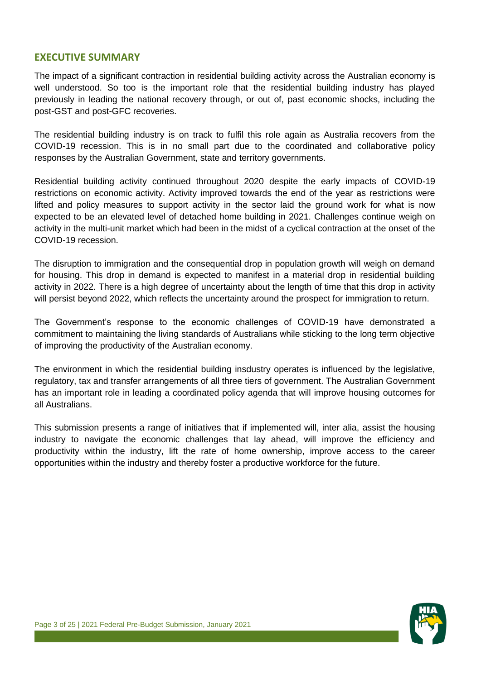# <span id="page-2-0"></span>**EXECUTIVE SUMMARY**

The impact of a significant contraction in residential building activity across the Australian economy is well understood. So too is the important role that the residential building industry has played previously in leading the national recovery through, or out of, past economic shocks, including the post-GST and post-GFC recoveries.

The residential building industry is on track to fulfil this role again as Australia recovers from the COVID-19 recession. This is in no small part due to the coordinated and collaborative policy responses by the Australian Government, state and territory governments.

Residential building activity continued throughout 2020 despite the early impacts of COVID-19 restrictions on economic activity. Activity improved towards the end of the year as restrictions were lifted and policy measures to support activity in the sector laid the ground work for what is now expected to be an elevated level of detached home building in 2021. Challenges continue weigh on activity in the multi-unit market which had been in the midst of a cyclical contraction at the onset of the COVID-19 recession.

The disruption to immigration and the consequential drop in population growth will weigh on demand for housing. This drop in demand is expected to manifest in a material drop in residential building activity in 2022. There is a high degree of uncertainty about the length of time that this drop in activity will persist beyond 2022, which reflects the uncertainty around the prospect for immigration to return.

The Government's response to the economic challenges of COVID-19 have demonstrated a commitment to maintaining the living standards of Australians while sticking to the long term objective of improving the productivity of the Australian economy.

The environment in which the residential building insdustry operates is influenced by the legislative, regulatory, tax and transfer arrangements of all three tiers of government. The Australian Government has an important role in leading a coordinated policy agenda that will improve housing outcomes for all Australians.

This submission presents a range of initiatives that if implemented will, inter alia, assist the housing industry to navigate the economic challenges that lay ahead, will improve the efficiency and productivity within the industry, lift the rate of home ownership, improve access to the career opportunities within the industry and thereby foster a productive workforce for the future.

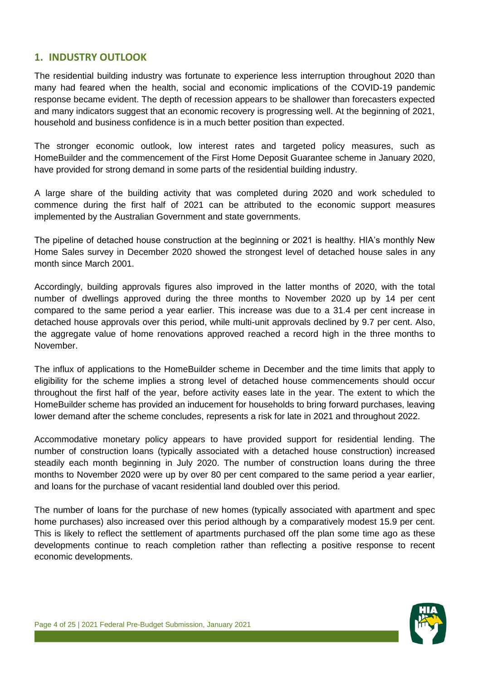# <span id="page-3-0"></span>**1. INDUSTRY OUTLOOK**

The residential building industry was fortunate to experience less interruption throughout 2020 than many had feared when the health, social and economic implications of the COVID-19 pandemic response became evident. The depth of recession appears to be shallower than forecasters expected and many indicators suggest that an economic recovery is progressing well. At the beginning of 2021, household and business confidence is in a much better position than expected.

The stronger economic outlook, low interest rates and targeted policy measures, such as HomeBuilder and the commencement of the First Home Deposit Guarantee scheme in January 2020, have provided for strong demand in some parts of the residential building industry.

A large share of the building activity that was completed during 2020 and work scheduled to commence during the first half of 2021 can be attributed to the economic support measures implemented by the Australian Government and state governments.

The pipeline of detached house construction at the beginning or 2021 is healthy. HIA's monthly New Home Sales survey in December 2020 showed the strongest level of detached house sales in any month since March 2001.

Accordingly, building approvals figures also improved in the latter months of 2020, with the total number of dwellings approved during the three months to November 2020 up by 14 per cent compared to the same period a year earlier. This increase was due to a 31.4 per cent increase in detached house approvals over this period, while multi-unit approvals declined by 9.7 per cent. Also, the aggregate value of home renovations approved reached a record high in the three months to November.

The influx of applications to the HomeBuilder scheme in December and the time limits that apply to eligibility for the scheme implies a strong level of detached house commencements should occur throughout the first half of the year, before activity eases late in the year. The extent to which the HomeBuilder scheme has provided an inducement for households to bring forward purchases, leaving lower demand after the scheme concludes, represents a risk for late in 2021 and throughout 2022.

Accommodative monetary policy appears to have provided support for residential lending. The number of construction loans (typically associated with a detached house construction) increased steadily each month beginning in July 2020. The number of construction loans during the three months to November 2020 were up by over 80 per cent compared to the same period a year earlier, and loans for the purchase of vacant residential land doubled over this period.

The number of loans for the purchase of new homes (typically associated with apartment and spec home purchases) also increased over this period although by a comparatively modest 15.9 per cent. This is likely to reflect the settlement of apartments purchased off the plan some time ago as these developments continue to reach completion rather than reflecting a positive response to recent economic developments.

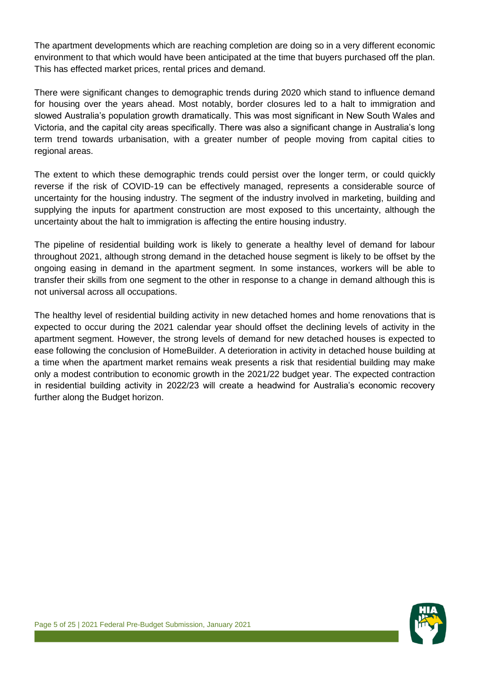The apartment developments which are reaching completion are doing so in a very different economic environment to that which would have been anticipated at the time that buyers purchased off the plan. This has effected market prices, rental prices and demand.

There were significant changes to demographic trends during 2020 which stand to influence demand for housing over the years ahead. Most notably, border closures led to a halt to immigration and slowed Australia's population growth dramatically. This was most significant in New South Wales and Victoria, and the capital city areas specifically. There was also a significant change in Australia's long term trend towards urbanisation, with a greater number of people moving from capital cities to regional areas.

The extent to which these demographic trends could persist over the longer term, or could quickly reverse if the risk of COVID-19 can be effectively managed, represents a considerable source of uncertainty for the housing industry. The segment of the industry involved in marketing, building and supplying the inputs for apartment construction are most exposed to this uncertainty, although the uncertainty about the halt to immigration is affecting the entire housing industry.

The pipeline of residential building work is likely to generate a healthy level of demand for labour throughout 2021, although strong demand in the detached house segment is likely to be offset by the ongoing easing in demand in the apartment segment. In some instances, workers will be able to transfer their skills from one segment to the other in response to a change in demand although this is not universal across all occupations.

The healthy level of residential building activity in new detached homes and home renovations that is expected to occur during the 2021 calendar year should offset the declining levels of activity in the apartment segment. However, the strong levels of demand for new detached houses is expected to ease following the conclusion of HomeBuilder. A deterioration in activity in detached house building at a time when the apartment market remains weak presents a risk that residential building may make only a modest contribution to economic growth in the 2021/22 budget year. The expected contraction in residential building activity in 2022/23 will create a headwind for Australia's economic recovery further along the Budget horizon.

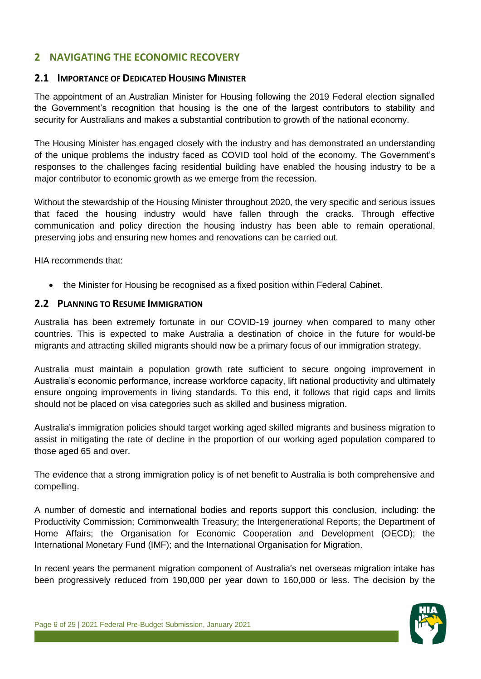# <span id="page-5-0"></span>**2 NAVIGATING THE ECONOMIC RECOVERY**

# <span id="page-5-1"></span>**2.1 IMPORTANCE OF DEDICATED HOUSING MINISTER**

The appointment of an Australian Minister for Housing following the 2019 Federal election signalled the Government's recognition that housing is the one of the largest contributors to stability and security for Australians and makes a substantial contribution to growth of the national economy.

The Housing Minister has engaged closely with the industry and has demonstrated an understanding of the unique problems the industry faced as COVID tool hold of the economy. The Government's responses to the challenges facing residential building have enabled the housing industry to be a major contributor to economic growth as we emerge from the recession.

Without the stewardship of the Housing Minister throughout 2020, the very specific and serious issues that faced the housing industry would have fallen through the cracks. Through effective communication and policy direction the housing industry has been able to remain operational, preserving jobs and ensuring new homes and renovations can be carried out.

HIA recommends that:

the Minister for Housing be recognised as a fixed position within Federal Cabinet.

# <span id="page-5-2"></span>**2.2 PLANNING TO RESUME IMMIGRATION**

Australia has been extremely fortunate in our COVID-19 journey when compared to many other countries. This is expected to make Australia a destination of choice in the future for would-be migrants and attracting skilled migrants should now be a primary focus of our immigration strategy.

Australia must maintain a population growth rate sufficient to secure ongoing improvement in Australia's economic performance, increase workforce capacity, lift national productivity and ultimately ensure ongoing improvements in living standards. To this end, it follows that rigid caps and limits should not be placed on visa categories such as skilled and business migration.

Australia's immigration policies should target working aged skilled migrants and business migration to assist in mitigating the rate of decline in the proportion of our working aged population compared to those aged 65 and over.

The evidence that a strong immigration policy is of net benefit to Australia is both comprehensive and compelling.

A number of domestic and international bodies and reports support this conclusion, including: the Productivity Commission; Commonwealth Treasury; the Intergenerational Reports; the Department of Home Affairs; the Organisation for Economic Cooperation and Development (OECD); the International Monetary Fund (IMF); and the International Organisation for Migration.

In recent years the permanent migration component of Australia's net overseas migration intake has been progressively reduced from 190,000 per year down to 160,000 or less. The decision by the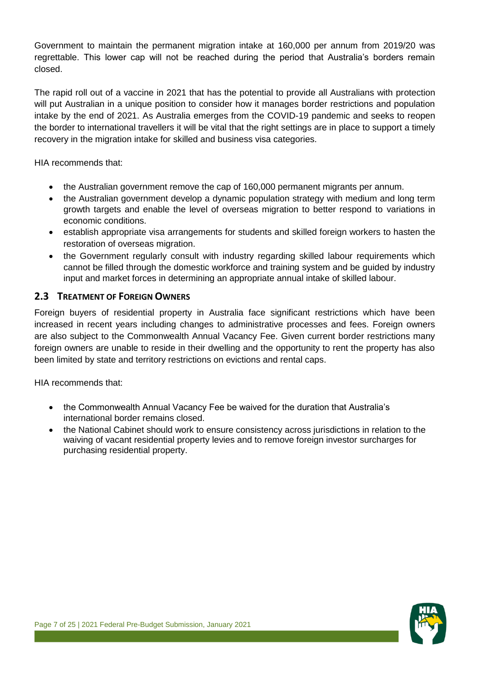Government to maintain the permanent migration intake at 160,000 per annum from 2019/20 was regrettable. This lower cap will not be reached during the period that Australia's borders remain closed.

The rapid roll out of a vaccine in 2021 that has the potential to provide all Australians with protection will put Australian in a unique position to consider how it manages border restrictions and population intake by the end of 2021. As Australia emerges from the COVID-19 pandemic and seeks to reopen the border to international travellers it will be vital that the right settings are in place to support a timely recovery in the migration intake for skilled and business visa categories.

HIA recommends that:

- the Australian government remove the cap of 160,000 permanent migrants per annum.
- the Australian government develop a dynamic population strategy with medium and long term growth targets and enable the level of overseas migration to better respond to variations in economic conditions.
- establish appropriate visa arrangements for students and skilled foreign workers to hasten the restoration of overseas migration.
- the Government regularly consult with industry regarding skilled labour requirements which cannot be filled through the domestic workforce and training system and be guided by industry input and market forces in determining an appropriate annual intake of skilled labour.

# <span id="page-6-0"></span>**2.3 TREATMENT OF FOREIGN OWNERS**

Foreign buyers of residential property in Australia face significant restrictions which have been increased in recent years including changes to administrative processes and fees. Foreign owners are also subject to the Commonwealth Annual Vacancy Fee. Given current border restrictions many foreign owners are unable to reside in their dwelling and the opportunity to rent the property has also been limited by state and territory restrictions on evictions and rental caps.

- the Commonwealth Annual Vacancy Fee be waived for the duration that Australia's international border remains closed.
- the National Cabinet should work to ensure consistency across jurisdictions in relation to the waiving of vacant residential property levies and to remove foreign investor surcharges for purchasing residential property.

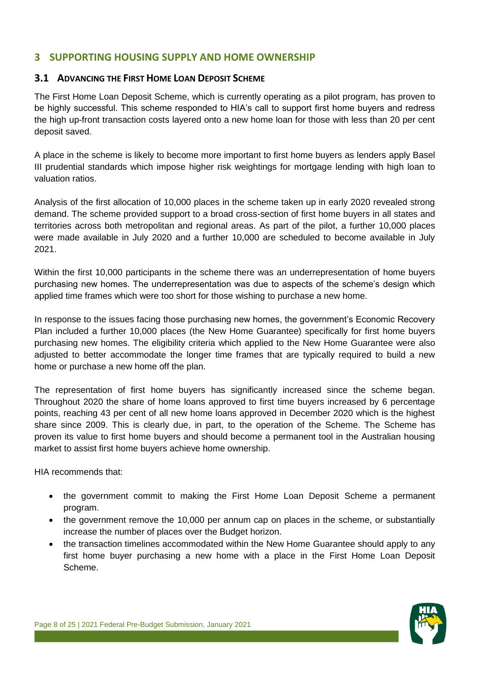# <span id="page-7-0"></span>**3 SUPPORTING HOUSING SUPPLY AND HOME OWNERSHIP**

# <span id="page-7-1"></span>**3.1 ADVANCING THE FIRST HOME LOAN DEPOSIT SCHEME**

The First Home Loan Deposit Scheme, which is currently operating as a pilot program, has proven to be highly successful. This scheme responded to HIA's call to support first home buyers and redress the high up-front transaction costs layered onto a new home loan for those with less than 20 per cent deposit saved.

A place in the scheme is likely to become more important to first home buyers as lenders apply Basel III prudential standards which impose higher risk weightings for mortgage lending with high loan to valuation ratios.

Analysis of the first allocation of 10,000 places in the scheme taken up in early 2020 revealed strong demand. The scheme provided support to a broad cross-section of first home buyers in all states and territories across both metropolitan and regional areas. As part of the pilot, a further 10,000 places were made available in July 2020 and a further 10,000 are scheduled to become available in July 2021.

Within the first 10,000 participants in the scheme there was an underrepresentation of home buyers purchasing new homes. The underrepresentation was due to aspects of the scheme's design which applied time frames which were too short for those wishing to purchase a new home.

In response to the issues facing those purchasing new homes, the government's Economic Recovery Plan included a further 10,000 places (the New Home Guarantee) specifically for first home buyers purchasing new homes. The eligibility criteria which applied to the New Home Guarantee were also adjusted to better accommodate the longer time frames that are typically required to build a new home or purchase a new home off the plan.

The representation of first home buyers has significantly increased since the scheme began. Throughout 2020 the share of home loans approved to first time buyers increased by 6 percentage points, reaching 43 per cent of all new home loans approved in December 2020 which is the highest share since 2009. This is clearly due, in part, to the operation of the Scheme. The Scheme has proven its value to first home buyers and should become a permanent tool in the Australian housing market to assist first home buyers achieve home ownership.

- the government commit to making the First Home Loan Deposit Scheme a permanent program.
- the government remove the 10,000 per annum cap on places in the scheme, or substantially increase the number of places over the Budget horizon.
- the transaction timelines accommodated within the New Home Guarantee should apply to any first home buyer purchasing a new home with a place in the First Home Loan Deposit Scheme.

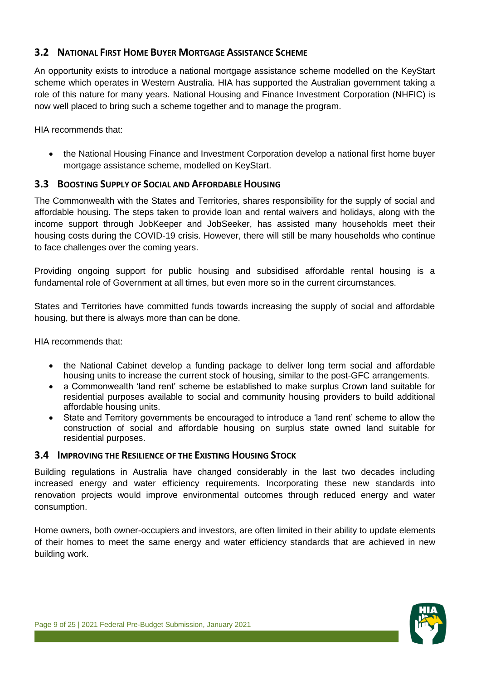# <span id="page-8-0"></span>**3.2 NATIONAL FIRST HOME BUYER MORTGAGE ASSISTANCE SCHEME**

An opportunity exists to introduce a national mortgage assistance scheme modelled on the KeyStart scheme which operates in Western Australia. HIA has supported the Australian government taking a role of this nature for many years. National Housing and Finance Investment Corporation (NHFIC) is now well placed to bring such a scheme together and to manage the program.

HIA recommends that:

 the National Housing Finance and Investment Corporation develop a national first home buyer mortgage assistance scheme, modelled on KeyStart.

# <span id="page-8-1"></span>**3.3 BOOSTING SUPPLY OF SOCIAL AND AFFORDABLE HOUSING**

The Commonwealth with the States and Territories, shares responsibility for the supply of social and affordable housing. The steps taken to provide loan and rental waivers and holidays, along with the income support through JobKeeper and JobSeeker, has assisted many households meet their housing costs during the COVID-19 crisis. However, there will still be many households who continue to face challenges over the coming years.

Providing ongoing support for public housing and subsidised affordable rental housing is a fundamental role of Government at all times, but even more so in the current circumstances.

States and Territories have committed funds towards increasing the supply of social and affordable housing, but there is always more than can be done.

HIA recommends that:

- the National Cabinet develop a funding package to deliver long term social and affordable housing units to increase the current stock of housing, similar to the post-GFC arrangements.
- a Commonwealth 'land rent' scheme be established to make surplus Crown land suitable for residential purposes available to social and community housing providers to build additional affordable housing units.
- State and Territory governments be encouraged to introduce a 'land rent' scheme to allow the construction of social and affordable housing on surplus state owned land suitable for residential purposes.

# <span id="page-8-2"></span>**3.4 IMPROVING THE RESILIENCE OF THE EXISTING HOUSING STOCK**

Building regulations in Australia have changed considerably in the last two decades including increased energy and water efficiency requirements. Incorporating these new standards into renovation projects would improve environmental outcomes through reduced energy and water consumption.

Home owners, both owner-occupiers and investors, are often limited in their ability to update elements of their homes to meet the same energy and water efficiency standards that are achieved in new building work.

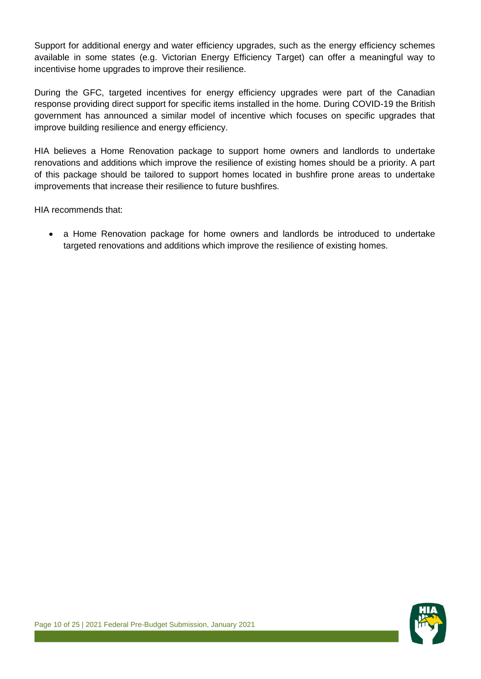Support for additional energy and water efficiency upgrades, such as the energy efficiency schemes available in some states (e.g. Victorian Energy Efficiency Target) can offer a meaningful way to incentivise home upgrades to improve their resilience.

During the GFC, targeted incentives for energy efficiency upgrades were part of the Canadian response providing direct support for specific items installed in the home. During COVID-19 the British government has announced a similar model of incentive which focuses on specific upgrades that improve building resilience and energy efficiency.

HIA believes a Home Renovation package to support home owners and landlords to undertake renovations and additions which improve the resilience of existing homes should be a priority. A part of this package should be tailored to support homes located in bushfire prone areas to undertake improvements that increase their resilience to future bushfires.

HIA recommends that:

 a Home Renovation package for home owners and landlords be introduced to undertake targeted renovations and additions which improve the resilience of existing homes.

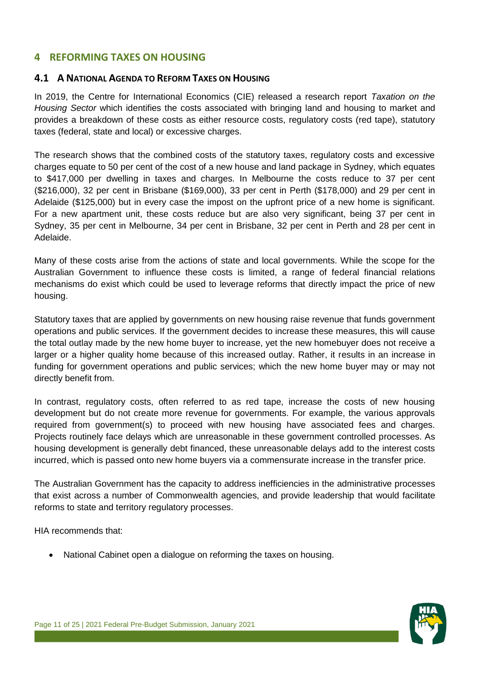# <span id="page-10-0"></span>**4 REFORMING TAXES ON HOUSING**

#### <span id="page-10-1"></span>**4.1 A NATIONAL AGENDA TO REFORM TAXES ON HOUSING**

In 2019, the Centre for International Economics (CIE) released a research report *Taxation on the Housing Sector* which identifies the costs associated with bringing land and housing to market and provides a breakdown of these costs as either resource costs, regulatory costs (red tape), statutory taxes (federal, state and local) or excessive charges.

The research shows that the combined costs of the statutory taxes, regulatory costs and excessive charges equate to 50 per cent of the cost of a new house and land package in Sydney, which equates to \$417,000 per dwelling in taxes and charges. In Melbourne the costs reduce to 37 per cent (\$216,000), 32 per cent in Brisbane (\$169,000), 33 per cent in Perth (\$178,000) and 29 per cent in Adelaide (\$125,000) but in every case the impost on the upfront price of a new home is significant. For a new apartment unit, these costs reduce but are also very significant, being 37 per cent in Sydney, 35 per cent in Melbourne, 34 per cent in Brisbane, 32 per cent in Perth and 28 per cent in Adelaide.

Many of these costs arise from the actions of state and local governments. While the scope for the Australian Government to influence these costs is limited, a range of federal financial relations mechanisms do exist which could be used to leverage reforms that directly impact the price of new housing.

Statutory taxes that are applied by governments on new housing raise revenue that funds government operations and public services. If the government decides to increase these measures, this will cause the total outlay made by the new home buyer to increase, yet the new homebuyer does not receive a larger or a higher quality home because of this increased outlay. Rather, it results in an increase in funding for government operations and public services; which the new home buyer may or may not directly benefit from.

In contrast, regulatory costs, often referred to as red tape, increase the costs of new housing development but do not create more revenue for governments. For example, the various approvals required from government(s) to proceed with new housing have associated fees and charges. Projects routinely face delays which are unreasonable in these government controlled processes. As housing development is generally debt financed, these unreasonable delays add to the interest costs incurred, which is passed onto new home buyers via a commensurate increase in the transfer price.

The Australian Government has the capacity to address inefficiencies in the administrative processes that exist across a number of Commonwealth agencies, and provide leadership that would facilitate reforms to state and territory regulatory processes.

HIA recommends that:

National Cabinet open a dialogue on reforming the taxes on housing.

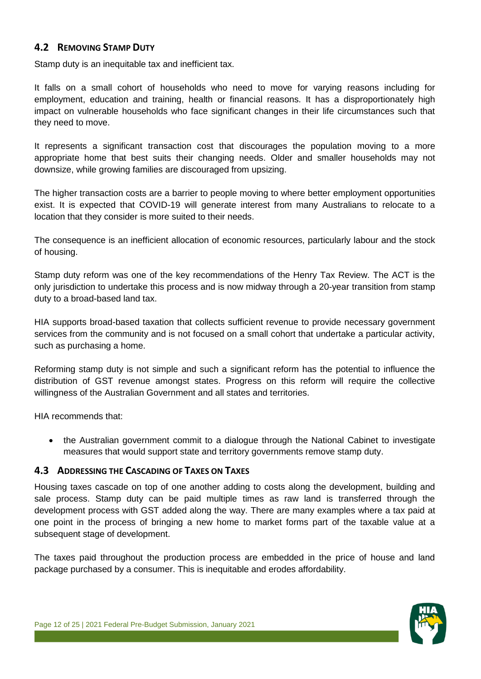# <span id="page-11-0"></span>**4.2 REMOVING STAMP DUTY**

Stamp duty is an inequitable tax and inefficient tax.

It falls on a small cohort of households who need to move for varying reasons including for employment, education and training, health or financial reasons. It has a disproportionately high impact on vulnerable households who face significant changes in their life circumstances such that they need to move.

It represents a significant transaction cost that discourages the population moving to a more appropriate home that best suits their changing needs. Older and smaller households may not downsize, while growing families are discouraged from upsizing.

The higher transaction costs are a barrier to people moving to where better employment opportunities exist. It is expected that COVID-19 will generate interest from many Australians to relocate to a location that they consider is more suited to their needs.

The consequence is an inefficient allocation of economic resources, particularly labour and the stock of housing.

Stamp duty reform was one of the key recommendations of the Henry Tax Review. The ACT is the only jurisdiction to undertake this process and is now midway through a 20-year transition from stamp duty to a broad-based land tax.

HIA supports broad-based taxation that collects sufficient revenue to provide necessary government services from the community and is not focused on a small cohort that undertake a particular activity, such as purchasing a home.

Reforming stamp duty is not simple and such a significant reform has the potential to influence the distribution of GST revenue amongst states. Progress on this reform will require the collective willingness of the Australian Government and all states and territories.

HIA recommends that:

• the Australian government commit to a dialogue through the National Cabinet to investigate measures that would support state and territory governments remove stamp duty.

#### <span id="page-11-1"></span>**4.3 ADDRESSING THE CASCADING OF TAXES ON TAXES**

Housing taxes cascade on top of one another adding to costs along the development, building and sale process. Stamp duty can be paid multiple times as raw land is transferred through the development process with GST added along the way. There are many examples where a tax paid at one point in the process of bringing a new home to market forms part of the taxable value at a subsequent stage of development.

The taxes paid throughout the production process are embedded in the price of house and land package purchased by a consumer. This is inequitable and erodes affordability.

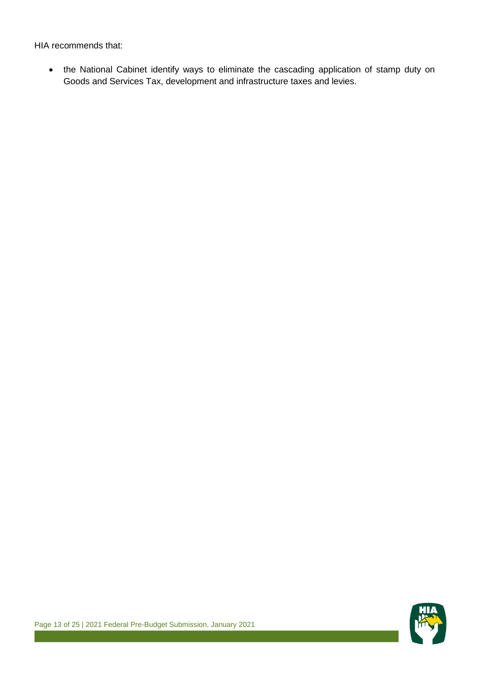HIA recommends that:

 the National Cabinet identify ways to eliminate the cascading application of stamp duty on Goods and Services Tax, development and infrastructure taxes and levies.

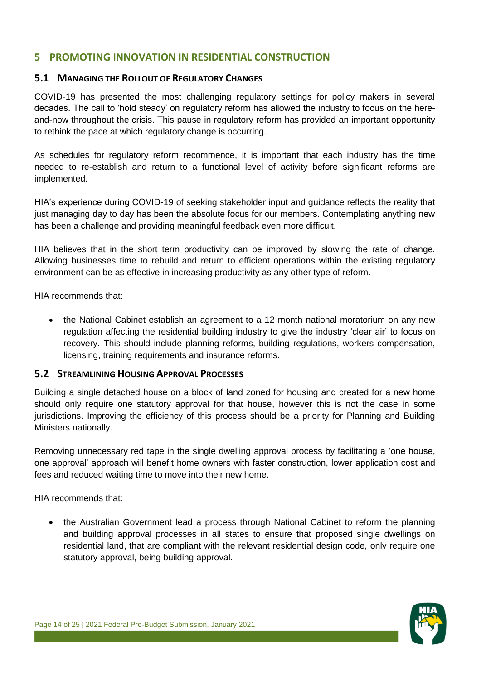# <span id="page-13-0"></span>**5 PROMOTING INNOVATION IN RESIDENTIAL CONSTRUCTION**

#### <span id="page-13-1"></span>**5.1 MANAGING THE ROLLOUT OF REGULATORY CHANGES**

COVID-19 has presented the most challenging regulatory settings for policy makers in several decades. The call to 'hold steady' on regulatory reform has allowed the industry to focus on the hereand-now throughout the crisis. This pause in regulatory reform has provided an important opportunity to rethink the pace at which regulatory change is occurring.

As schedules for regulatory reform recommence, it is important that each industry has the time needed to re-establish and return to a functional level of activity before significant reforms are implemented.

HIA's experience during COVID-19 of seeking stakeholder input and guidance reflects the reality that just managing day to day has been the absolute focus for our members. Contemplating anything new has been a challenge and providing meaningful feedback even more difficult.

HIA believes that in the short term productivity can be improved by slowing the rate of change. Allowing businesses time to rebuild and return to efficient operations within the existing regulatory environment can be as effective in increasing productivity as any other type of reform.

HIA recommends that:

 the National Cabinet establish an agreement to a 12 month national moratorium on any new regulation affecting the residential building industry to give the industry 'clear air' to focus on recovery. This should include planning reforms, building regulations, workers compensation, licensing, training requirements and insurance reforms.

#### <span id="page-13-2"></span>**5.2 STREAMLINING HOUSING APPROVAL PROCESSES**

Building a single detached house on a block of land zoned for housing and created for a new home should only require one statutory approval for that house, however this is not the case in some jurisdictions. Improving the efficiency of this process should be a priority for Planning and Building Ministers nationally.

Removing unnecessary red tape in the single dwelling approval process by facilitating a 'one house, one approval' approach will benefit home owners with faster construction, lower application cost and fees and reduced waiting time to move into their new home.

HIA recommends that:

 the Australian Government lead a process through National Cabinet to reform the planning and building approval processes in all states to ensure that proposed single dwellings on residential land, that are compliant with the relevant residential design code, only require one statutory approval, being building approval.

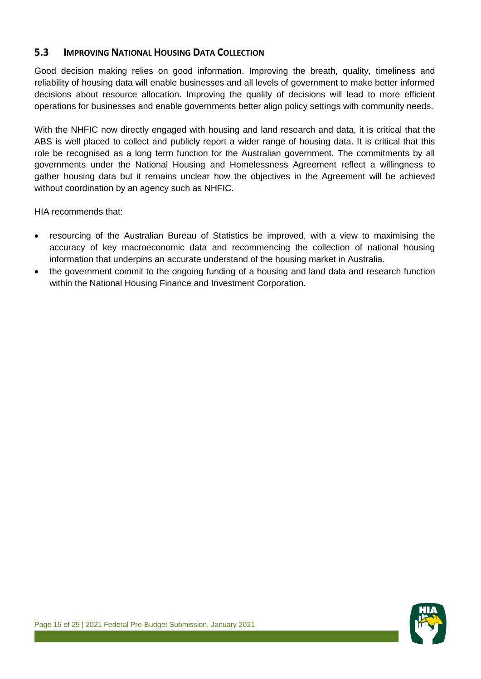# <span id="page-14-0"></span>**5.3 IMPROVING NATIONAL HOUSING DATA COLLECTION**

Good decision making relies on good information. Improving the breath, quality, timeliness and reliability of housing data will enable businesses and all levels of government to make better informed decisions about resource allocation. Improving the quality of decisions will lead to more efficient operations for businesses and enable governments better align policy settings with community needs.

With the NHFIC now directly engaged with housing and land research and data, it is critical that the ABS is well placed to collect and publicly report a wider range of housing data. It is critical that this role be recognised as a long term function for the Australian government. The commitments by all governments under the National Housing and Homelessness Agreement reflect a willingness to gather housing data but it remains unclear how the objectives in the Agreement will be achieved without coordination by an agency such as NHFIC.

- resourcing of the Australian Bureau of Statistics be improved, with a view to maximising the accuracy of key macroeconomic data and recommencing the collection of national housing information that underpins an accurate understand of the housing market in Australia.
- the government commit to the ongoing funding of a housing and land data and research function within the National Housing Finance and Investment Corporation.

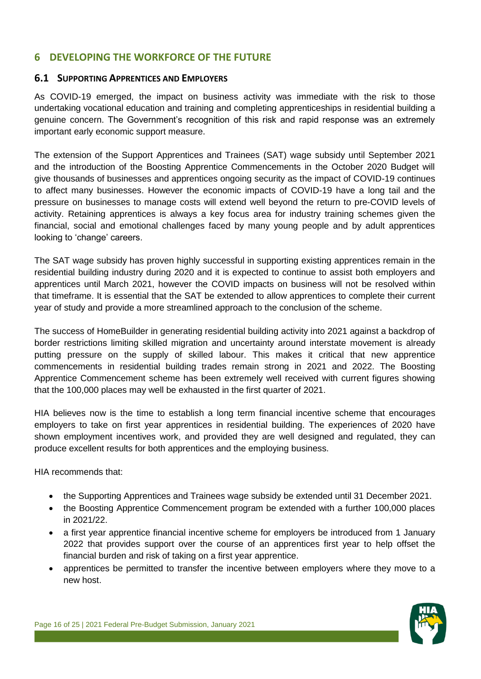# <span id="page-15-0"></span>**6 DEVELOPING THE WORKFORCE OF THE FUTURE**

#### <span id="page-15-1"></span>**6.1 SUPPORTING APPRENTICES AND EMPLOYERS**

As COVID-19 emerged, the impact on business activity was immediate with the risk to those undertaking vocational education and training and completing apprenticeships in residential building a genuine concern. The Government's recognition of this risk and rapid response was an extremely important early economic support measure.

The extension of the Support Apprentices and Trainees (SAT) wage subsidy until September 2021 and the introduction of the Boosting Apprentice Commencements in the October 2020 Budget will give thousands of businesses and apprentices ongoing security as the impact of COVID-19 continues to affect many businesses. However the economic impacts of COVID-19 have a long tail and the pressure on businesses to manage costs will extend well beyond the return to pre-COVID levels of activity. Retaining apprentices is always a key focus area for industry training schemes given the financial, social and emotional challenges faced by many young people and by adult apprentices looking to 'change' careers.

The SAT wage subsidy has proven highly successful in supporting existing apprentices remain in the residential building industry during 2020 and it is expected to continue to assist both employers and apprentices until March 2021, however the COVID impacts on business will not be resolved within that timeframe. It is essential that the SAT be extended to allow apprentices to complete their current year of study and provide a more streamlined approach to the conclusion of the scheme.

The success of HomeBuilder in generating residential building activity into 2021 against a backdrop of border restrictions limiting skilled migration and uncertainty around interstate movement is already putting pressure on the supply of skilled labour. This makes it critical that new apprentice commencements in residential building trades remain strong in 2021 and 2022. The Boosting Apprentice Commencement scheme has been extremely well received with current figures showing that the 100,000 places may well be exhausted in the first quarter of 2021.

HIA believes now is the time to establish a long term financial incentive scheme that encourages employers to take on first year apprentices in residential building. The experiences of 2020 have shown employment incentives work, and provided they are well designed and regulated, they can produce excellent results for both apprentices and the employing business.

- the Supporting Apprentices and Trainees wage subsidy be extended until 31 December 2021.
- the Boosting Apprentice Commencement program be extended with a further 100,000 places in 2021/22.
- a first year apprentice financial incentive scheme for employers be introduced from 1 January 2022 that provides support over the course of an apprentices first year to help offset the financial burden and risk of taking on a first year apprentice.
- apprentices be permitted to transfer the incentive between employers where they move to a new host.

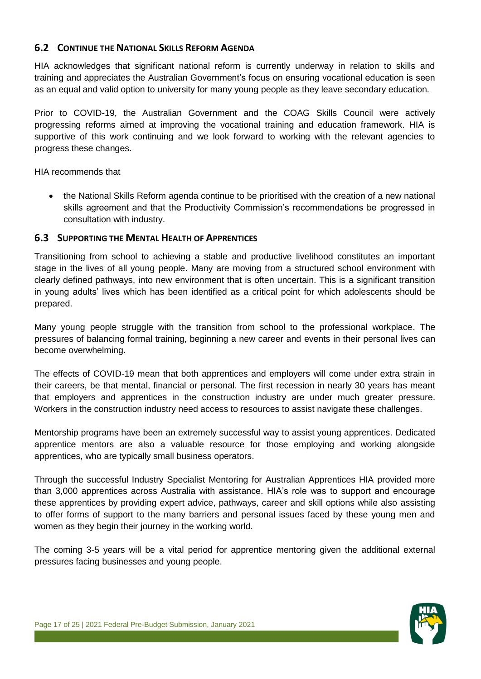# <span id="page-16-0"></span>**6.2 CONTINUE THE NATIONAL SKILLS REFORM AGENDA**

HIA acknowledges that significant national reform is currently underway in relation to skills and training and appreciates the Australian Government's focus on ensuring vocational education is seen as an equal and valid option to university for many young people as they leave secondary education.

Prior to COVID-19, the Australian Government and the COAG Skills Council were actively progressing reforms aimed at improving the vocational training and education framework. HIA is supportive of this work continuing and we look forward to working with the relevant agencies to progress these changes.

HIA recommends that

 the National Skills Reform agenda continue to be prioritised with the creation of a new national skills agreement and that the Productivity Commission's recommendations be progressed in consultation with industry.

# <span id="page-16-1"></span>**6.3 SUPPORTING THE MENTAL HEALTH OF APPRENTICES**

Transitioning from school to achieving a stable and productive livelihood constitutes an important stage in the lives of all young people. Many are moving from a structured school environment with clearly defined pathways, into new environment that is often uncertain. This is a significant transition in young adults' lives which has been identified as a critical point for which adolescents should be prepared.

Many young people struggle with the transition from school to the professional workplace. The pressures of balancing formal training, beginning a new career and events in their personal lives can become overwhelming.

The effects of COVID-19 mean that both apprentices and employers will come under extra strain in their careers, be that mental, financial or personal. The first recession in nearly 30 years has meant that employers and apprentices in the construction industry are under much greater pressure. Workers in the construction industry need access to resources to assist navigate these challenges.

Mentorship programs have been an extremely successful way to assist young apprentices. Dedicated apprentice mentors are also a valuable resource for those employing and working alongside apprentices, who are typically small business operators.

Through the successful Industry Specialist Mentoring for Australian Apprentices HIA provided more than 3,000 apprentices across Australia with assistance. HIA's role was to support and encourage these apprentices by providing expert advice, pathways, career and skill options while also assisting to offer forms of support to the many barriers and personal issues faced by these young men and women as they begin their journey in the working world.

The coming 3-5 years will be a vital period for apprentice mentoring given the additional external pressures facing businesses and young people.

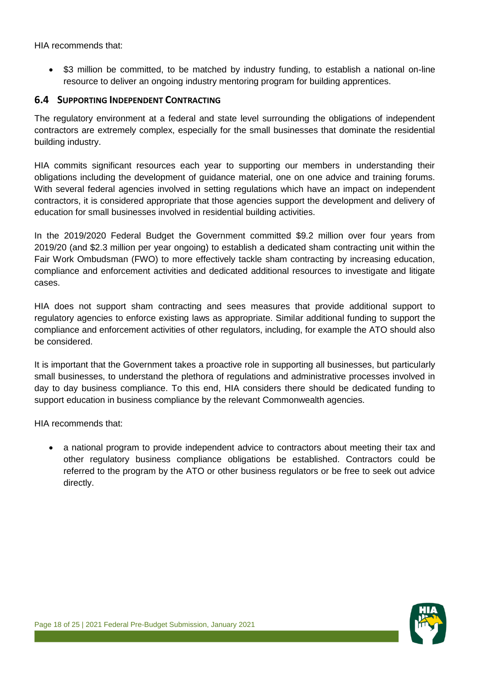HIA recommends that:

\$3 million be committed, to be matched by industry funding, to establish a national on-line resource to deliver an ongoing industry mentoring program for building apprentices.

#### <span id="page-17-0"></span>**6.4 SUPPORTING INDEPENDENT CONTRACTING**

The regulatory environment at a federal and state level surrounding the obligations of independent contractors are extremely complex, especially for the small businesses that dominate the residential building industry.

HIA commits significant resources each year to supporting our members in understanding their obligations including the development of guidance material, one on one advice and training forums. With several federal agencies involved in setting regulations which have an impact on independent contractors, it is considered appropriate that those agencies support the development and delivery of education for small businesses involved in residential building activities.

In the 2019/2020 Federal Budget the Government committed \$9.2 million over four years from 2019/20 (and \$2.3 million per year ongoing) to establish a dedicated sham contracting unit within the Fair Work Ombudsman (FWO) to more effectively tackle sham contracting by increasing education, compliance and enforcement activities and dedicated additional resources to investigate and litigate cases.

HIA does not support sham contracting and sees measures that provide additional support to regulatory agencies to enforce existing laws as appropriate. Similar additional funding to support the compliance and enforcement activities of other regulators, including, for example the ATO should also be considered.

It is important that the Government takes a proactive role in supporting all businesses, but particularly small businesses, to understand the plethora of regulations and administrative processes involved in day to day business compliance. To this end, HIA considers there should be dedicated funding to support education in business compliance by the relevant Commonwealth agencies.

HIA recommends that:

 a national program to provide independent advice to contractors about meeting their tax and other regulatory business compliance obligations be established. Contractors could be referred to the program by the ATO or other business regulators or be free to seek out advice directly.

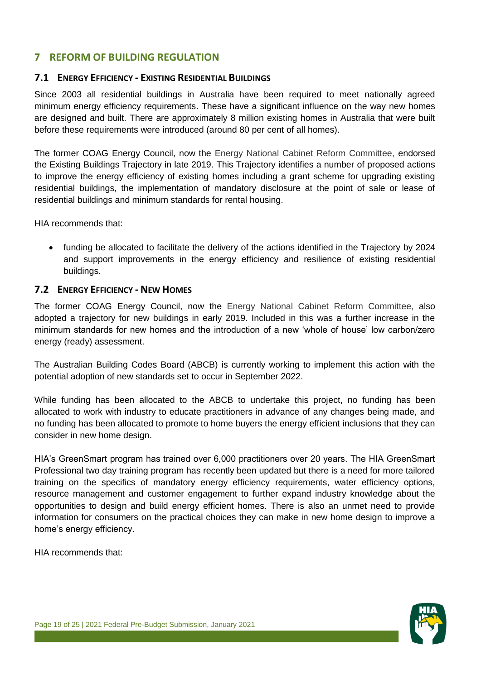# <span id="page-18-0"></span>**7 REFORM OF BUILDING REGULATION**

#### <span id="page-18-1"></span>**7.1 ENERGY EFFICIENCY - EXISTING RESIDENTIAL BUILDINGS**

Since 2003 all residential buildings in Australia have been required to meet nationally agreed minimum energy efficiency requirements. These have a significant influence on the way new homes are designed and built. There are approximately 8 million existing homes in Australia that were built before these requirements were introduced (around 80 per cent of all homes).

The former COAG Energy Council, now the Energy National Cabinet Reform Committee, endorsed the Existing Buildings Trajectory in late 2019. This Trajectory identifies a number of proposed actions to improve the energy efficiency of existing homes including a grant scheme for upgrading existing residential buildings, the implementation of mandatory disclosure at the point of sale or lease of residential buildings and minimum standards for rental housing.

HIA recommends that:

 funding be allocated to facilitate the delivery of the actions identified in the Trajectory by 2024 and support improvements in the energy efficiency and resilience of existing residential buildings.

# <span id="page-18-2"></span>**7.2 ENERGY EFFICIENCY - NEW HOMES**

The former COAG Energy Council, now the Energy National Cabinet Reform Committee, also adopted a trajectory for new buildings in early 2019. Included in this was a further increase in the minimum standards for new homes and the introduction of a new 'whole of house' low carbon/zero energy (ready) assessment.

The Australian Building Codes Board (ABCB) is currently working to implement this action with the potential adoption of new standards set to occur in September 2022.

While funding has been allocated to the ABCB to undertake this project, no funding has been allocated to work with industry to educate practitioners in advance of any changes being made, and no funding has been allocated to promote to home buyers the energy efficient inclusions that they can consider in new home design.

HIA's GreenSmart program has trained over 6,000 practitioners over 20 years. The HIA GreenSmart Professional two day training program has recently been updated but there is a need for more tailored training on the specifics of mandatory energy efficiency requirements, water efficiency options, resource management and customer engagement to further expand industry knowledge about the opportunities to design and build energy efficient homes. There is also an unmet need to provide information for consumers on the practical choices they can make in new home design to improve a home's energy efficiency.

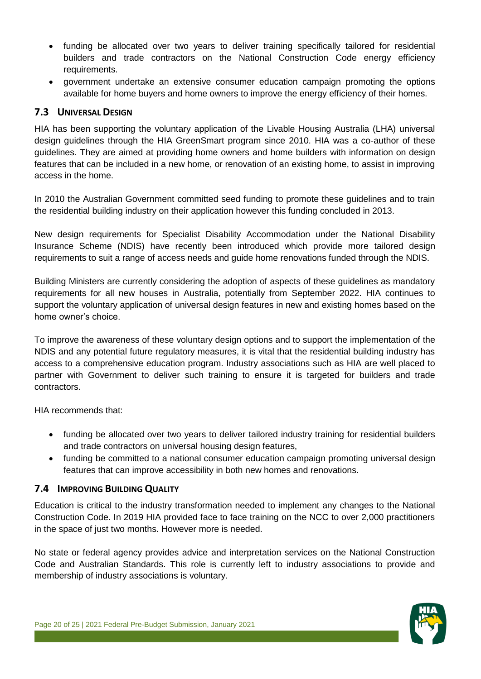- funding be allocated over two years to deliver training specifically tailored for residential builders and trade contractors on the National Construction Code energy efficiency requirements.
- government undertake an extensive consumer education campaign promoting the options available for home buyers and home owners to improve the energy efficiency of their homes.

# <span id="page-19-0"></span>**7.3 UNIVERSAL DESIGN**

HIA has been supporting the voluntary application of the Livable Housing Australia (LHA) universal design guidelines through the HIA GreenSmart program since 2010. HIA was a co-author of these guidelines. They are aimed at providing home owners and home builders with information on design features that can be included in a new home, or renovation of an existing home, to assist in improving access in the home.

In 2010 the Australian Government committed seed funding to promote these guidelines and to train the residential building industry on their application however this funding concluded in 2013.

New design requirements for Specialist Disability Accommodation under the National Disability Insurance Scheme (NDIS) have recently been introduced which provide more tailored design requirements to suit a range of access needs and guide home renovations funded through the NDIS.

Building Ministers are currently considering the adoption of aspects of these guidelines as mandatory requirements for all new houses in Australia, potentially from September 2022. HIA continues to support the voluntary application of universal design features in new and existing homes based on the home owner's choice.

To improve the awareness of these voluntary design options and to support the implementation of the NDIS and any potential future regulatory measures, it is vital that the residential building industry has access to a comprehensive education program. Industry associations such as HIA are well placed to partner with Government to deliver such training to ensure it is targeted for builders and trade contractors.

HIA recommends that:

- funding be allocated over two years to deliver tailored industry training for residential builders and trade contractors on universal housing design features,
- funding be committed to a national consumer education campaign promoting universal design features that can improve accessibility in both new homes and renovations.

# <span id="page-19-1"></span>**7.4 IMPROVING BUILDING QUALITY**

Education is critical to the industry transformation needed to implement any changes to the National Construction Code. In 2019 HIA provided face to face training on the NCC to over 2,000 practitioners in the space of just two months. However more is needed.

No state or federal agency provides advice and interpretation services on the National Construction Code and Australian Standards. This role is currently left to industry associations to provide and membership of industry associations is voluntary.

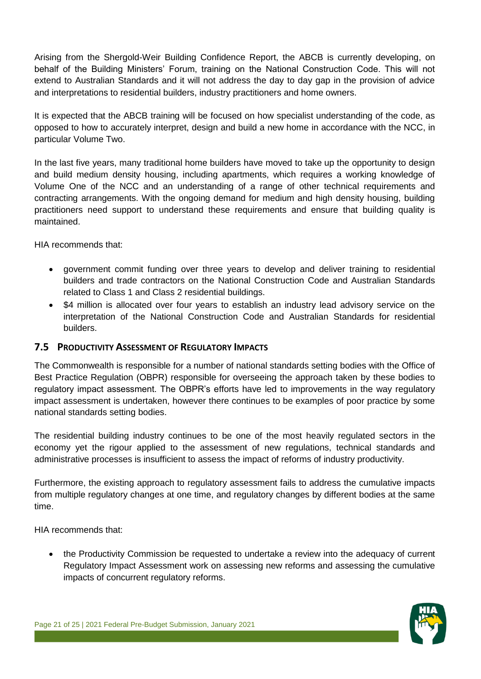Arising from the Shergold-Weir Building Confidence Report, the ABCB is currently developing, on behalf of the Building Ministers' Forum, training on the National Construction Code. This will not extend to Australian Standards and it will not address the day to day gap in the provision of advice and interpretations to residential builders, industry practitioners and home owners.

It is expected that the ABCB training will be focused on how specialist understanding of the code, as opposed to how to accurately interpret, design and build a new home in accordance with the NCC, in particular Volume Two.

In the last five years, many traditional home builders have moved to take up the opportunity to design and build medium density housing, including apartments, which requires a working knowledge of Volume One of the NCC and an understanding of a range of other technical requirements and contracting arrangements. With the ongoing demand for medium and high density housing, building practitioners need support to understand these requirements and ensure that building quality is maintained.

HIA recommends that:

- government commit funding over three years to develop and deliver training to residential builders and trade contractors on the National Construction Code and Australian Standards related to Class 1 and Class 2 residential buildings.
- \$4 million is allocated over four years to establish an industry lead advisory service on the interpretation of the National Construction Code and Australian Standards for residential builders.

# <span id="page-20-0"></span>**7.5 PRODUCTIVITY ASSESSMENT OF REGULATORY IMPACTS**

The Commonwealth is responsible for a number of national standards setting bodies with the Office of Best Practice Regulation (OBPR) responsible for overseeing the approach taken by these bodies to regulatory impact assessment. The OBPR's efforts have led to improvements in the way regulatory impact assessment is undertaken, however there continues to be examples of poor practice by some national standards setting bodies.

The residential building industry continues to be one of the most heavily regulated sectors in the economy yet the rigour applied to the assessment of new regulations, technical standards and administrative processes is insufficient to assess the impact of reforms of industry productivity.

Furthermore, the existing approach to regulatory assessment fails to address the cumulative impacts from multiple regulatory changes at one time, and regulatory changes by different bodies at the same time.

HIA recommends that:

 the Productivity Commission be requested to undertake a review into the adequacy of current Regulatory Impact Assessment work on assessing new reforms and assessing the cumulative impacts of concurrent regulatory reforms.

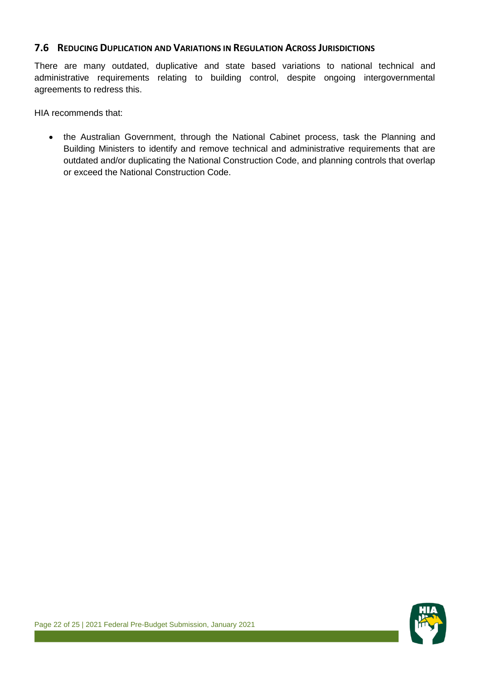#### <span id="page-21-0"></span>**7.6 REDUCING DUPLICATION AND VARIATIONS IN REGULATION ACROSS JURISDICTIONS**

There are many outdated, duplicative and state based variations to national technical and administrative requirements relating to building control, despite ongoing intergovernmental agreements to redress this.

HIA recommends that:

• the Australian Government, through the National Cabinet process, task the Planning and Building Ministers to identify and remove technical and administrative requirements that are outdated and/or duplicating the National Construction Code, and planning controls that overlap or exceed the National Construction Code.